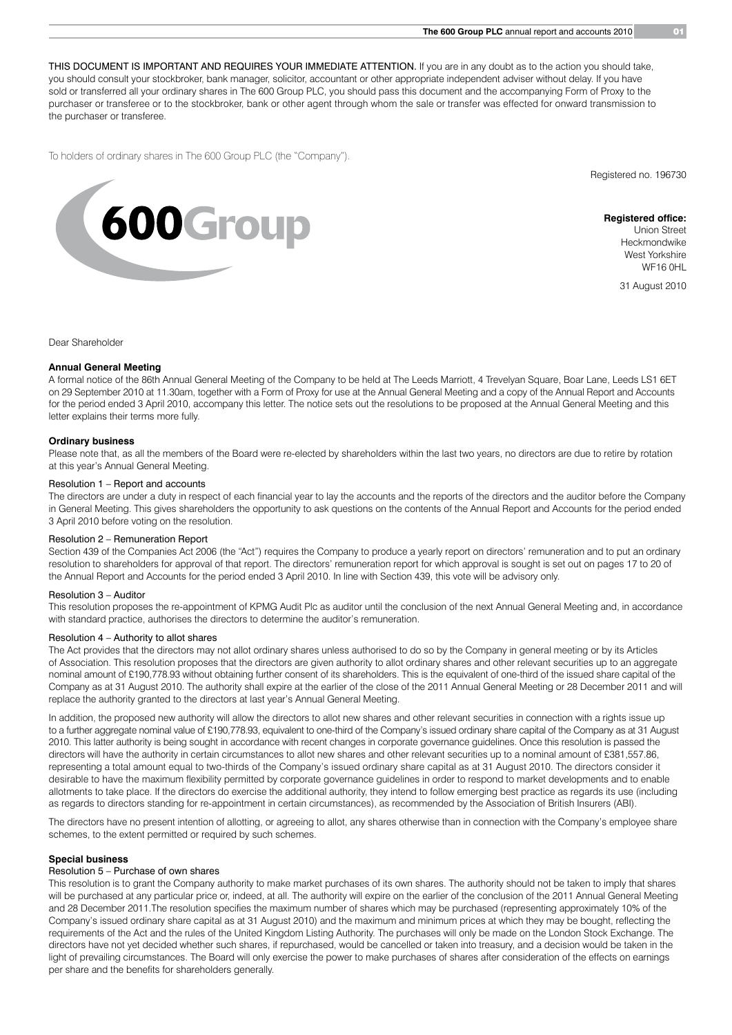THIS DOCUMENT IS IMPORTANT AND REQUIRES YOUR IMMEDIATE ATTENTION. If you are in any doubt as to the action you should take, you should consult your stockbroker, bank manager, solicitor, accountant or other appropriate independent adviser without delay. If you have sold or transferred all your ordinary shares in The 600 Group PLC, you should pass this document and the accompanying Form of Proxy to the purchaser or transferee or to the stockbroker, bank or other agent through whom the sale or transfer was effected for onward transmission to the purchaser or transferee.

To holders of ordinary shares in The 600 Group PLC (the "Company").

Registered no. 196730



**Registered office:** Union Street Heckmondwike West Yorkshire WF16 0HL

31 August 2010

Dear Shareholder

### **Annual General Meeting**

A formal notice of the 86th Annual General Meeting of the Company to be held at The Leeds Marriott, 4 Trevelyan Square, Boar Lane, Leeds LS1 6ET on 29 September 2010 at 11.30am, together with a Form of Proxy for use at the Annual General Meeting and a copy of the Annual Report and Accounts for the period ended 3 April 2010, accompany this letter. The notice sets out the resolutions to be proposed at the Annual General Meeting and this letter explains their terms more fully.

### **Ordinary business**

Please note that, as all the members of the Board were re-elected by shareholders within the last two years, no directors are due to retire by rotation at this year's Annual General Meeting.

### Resolution 1 – Report and accounts

The directors are under a duty in respect of each financial year to lay the accounts and the reports of the directors and the auditor before the Company in General Meeting. This gives shareholders the opportunity to ask questions on the contents of the Annual Report and Accounts for the period ended 3 April 2010 before voting on the resolution.

### Resolution 2 – Remuneration Report

Section 439 of the Companies Act 2006 (the "Act") requires the Company to produce a yearly report on directors' remuneration and to put an ordinary resolution to shareholders for approval of that report. The directors' remuneration report for which approval is sought is set out on pages 17 to 20 of the Annual Report and Accounts for the period ended 3 April 2010. In line with Section 439, this vote will be advisory only.

### Resolution 3 – Auditor

This resolution proposes the re-appointment of KPMG Audit Plc as auditor until the conclusion of the next Annual General Meeting and, in accordance with standard practice, authorises the directors to determine the auditor's remuneration.

### Resolution 4 – Authority to allot shares

The Act provides that the directors may not allot ordinary shares unless authorised to do so by the Company in general meeting or by its Articles of Association. This resolution proposes that the directors are given authority to allot ordinary shares and other relevant securities up to an aggregate nominal amount of £190,778.93 without obtaining further consent of its shareholders. This is the equivalent of one-third of the issued share capital of the Company as at 31 August 2010. The authority shall expire at the earlier of the close of the 2011 Annual General Meeting or 28 December 2011 and will replace the authority granted to the directors at last year's Annual General Meeting.

In addition, the proposed new authority will allow the directors to allot new shares and other relevant securities in connection with a rights issue up to a further aggregate nominal value of £190,778.93, equivalent to one-third of the Company's issued ordinary share capital of the Company as at 31 August 2010. This latter authority is being sought in accordance with recent changes in corporate governance guidelines. Once this resolution is passed the directors will have the authority in certain circumstances to allot new shares and other relevant securities up to a nominal amount of £381,557.86, representing a total amount equal to two-thirds of the Company's issued ordinary share capital as at 31 August 2010. The directors consider it desirable to have the maximum flexibility permitted by corporate governance guidelines in order to respond to market developments and to enable allotments to take place. If the directors do exercise the additional authority, they intend to follow emerging best practice as regards its use (including as regards to directors standing for re-appointment in certain circumstances), as recommended by the Association of British Insurers (ABI).

The directors have no present intention of allotting, or agreeing to allot, any shares otherwise than in connection with the Company's employee share schemes, to the extent permitted or required by such schemes.

### **Special business**

### Resolution 5 – Purchase of own shares

This resolution is to grant the Company authority to make market purchases of its own shares. The authority should not be taken to imply that shares will be purchased at any particular price or, indeed, at all. The authority will expire on the earlier of the conclusion of the 2011 Annual General Meeting and 28 December 2011.The resolution specifies the maximum number of shares which may be purchased (representing approximately 10% of the Company's issued ordinary share capital as at 31 August 2010) and the maximum and minimum prices at which they may be bought, reflecting the requirements of the Act and the rules of the United Kingdom Listing Authority. The purchases will only be made on the London Stock Exchange. The directors have not yet decided whether such shares, if repurchased, would be cancelled or taken into treasury, and a decision would be taken in the light of prevailing circumstances. The Board will only exercise the power to make purchases of shares after consideration of the effects on earnings per share and the benefits for shareholders generally.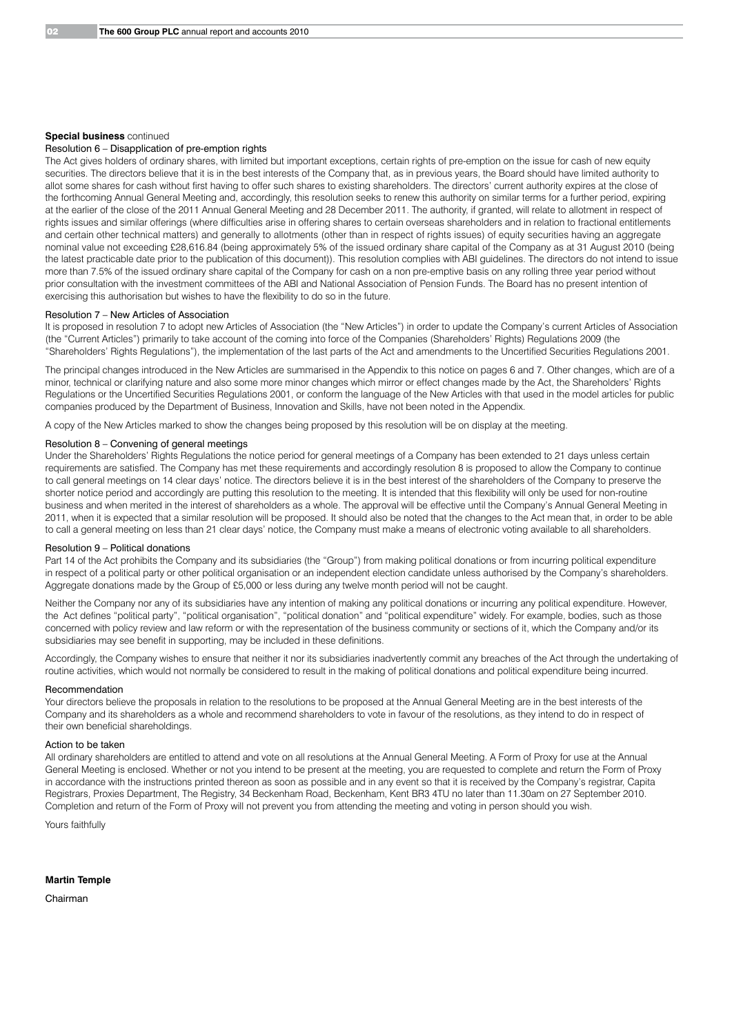### **Special business** continued

### Resolution 6 – Disapplication of pre-emption rights

The Act gives holders of ordinary shares, with limited but important exceptions, certain rights of pre-emption on the issue for cash of new equity securities. The directors believe that it is in the best interests of the Company that, as in previous years, the Board should have limited authority to allot some shares for cash without first having to offer such shares to existing shareholders. The directors' current authority expires at the close of the forthcoming Annual General Meeting and, accordingly, this resolution seeks to renew this authority on similar terms for a further period, expiring at the earlier of the close of the 2011 Annual General Meeting and 28 December 2011. The authority, if granted, will relate to allotment in respect of rights issues and similar offerings (where difficulties arise in offering shares to certain overseas shareholders and in relation to fractional entitlements and certain other technical matters) and generally to allotments (other than in respect of rights issues) of equity securities having an aggregate nominal value not exceeding £28,616.84 (being approximately 5% of the issued ordinary share capital of the Company as at 31 August 2010 (being the latest practicable date prior to the publication of this document)). This resolution complies with ABI guidelines. The directors do not intend to issue more than 7.5% of the issued ordinary share capital of the Company for cash on a non pre-emptive basis on any rolling three year period without prior consultation with the investment committees of the ABI and National Association of Pension Funds. The Board has no present intention of exercising this authorisation but wishes to have the flexibility to do so in the future.

### Resolution 7 – New Articles of Association

It is proposed in resolution 7 to adopt new Articles of Association (the "New Articles") in order to update the Company's current Articles of Association (the "Current Articles") primarily to take account of the coming into force of the Companies (Shareholders' Rights) Regulations 2009 (the "Shareholders' Rights Regulations"), the implementation of the last parts of the Act and amendments to the Uncertified Securities Regulations 2001.

The principal changes introduced in the New Articles are summarised in the Appendix to this notice on pages 6 and 7. Other changes, which are of a minor, technical or clarifying nature and also some more minor changes which mirror or effect changes made by the Act, the Shareholders' Rights Regulations or the Uncertified Securities Regulations 2001, or conform the language of the New Articles with that used in the model articles for public companies produced by the Department of Business, Innovation and Skills, have not been noted in the Appendix.

A copy of the New Articles marked to show the changes being proposed by this resolution will be on display at the meeting.

### Resolution 8 – Convening of general meetings

Under the Shareholders' Rights Regulations the notice period for general meetings of a Company has been extended to 21 days unless certain requirements are satisfied. The Company has met these requirements and accordingly resolution 8 is proposed to allow the Company to continue to call general meetings on 14 clear days' notice. The directors believe it is in the best interest of the shareholders of the Company to preserve the shorter notice period and accordingly are putting this resolution to the meeting. It is intended that this flexibility will only be used for non-routine business and when merited in the interest of shareholders as a whole. The approval will be effective until the Company's Annual General Meeting in 2011, when it is expected that a similar resolution will be proposed. It should also be noted that the changes to the Act mean that, in order to be able to call a general meeting on less than 21 clear days' notice, the Company must make a means of electronic voting available to all shareholders.

### Resolution 9 – Political donations

Part 14 of the Act prohibits the Company and its subsidiaries (the "Group") from making political donations or from incurring political expenditure in respect of a political party or other political organisation or an independent election candidate unless authorised by the Company's shareholders. Aggregate donations made by the Group of £5,000 or less during any twelve month period will not be caught.

Neither the Company nor any of its subsidiaries have any intention of making any political donations or incurring any political expenditure. However, the Act defines "political party", "political organisation", "political donation" and "political expenditure" widely. For example, bodies, such as those concerned with policy review and law reform or with the representation of the business community or sections of it, which the Company and/or its subsidiaries may see benefit in supporting, may be included in these definitions.

Accordingly, the Company wishes to ensure that neither it nor its subsidiaries inadvertently commit any breaches of the Act through the undertaking of routine activities, which would not normally be considered to result in the making of political donations and political expenditure being incurred.

### Recommendation

Your directors believe the proposals in relation to the resolutions to be proposed at the Annual General Meeting are in the best interests of the Company and its shareholders as a whole and recommend shareholders to vote in favour of the resolutions, as they intend to do in respect of their own beneficial shareholdings.

### Action to be taken

All ordinary shareholders are entitled to attend and vote on all resolutions at the Annual General Meeting. A Form of Proxy for use at the Annual General Meeting is enclosed. Whether or not you intend to be present at the meeting, you are requested to complete and return the Form of Proxy in accordance with the instructions printed thereon as soon as possible and in any event so that it is received by the Company's registrar, Capita Registrars, Proxies Department, The Registry, 34 Beckenham Road, Beckenham, Kent BR3 4TU no later than 11.30am on 27 September 2010. Completion and return of the Form of Proxy will not prevent you from attending the meeting and voting in person should you wish.

Yours faithfully

**Martin Temple**

Chairman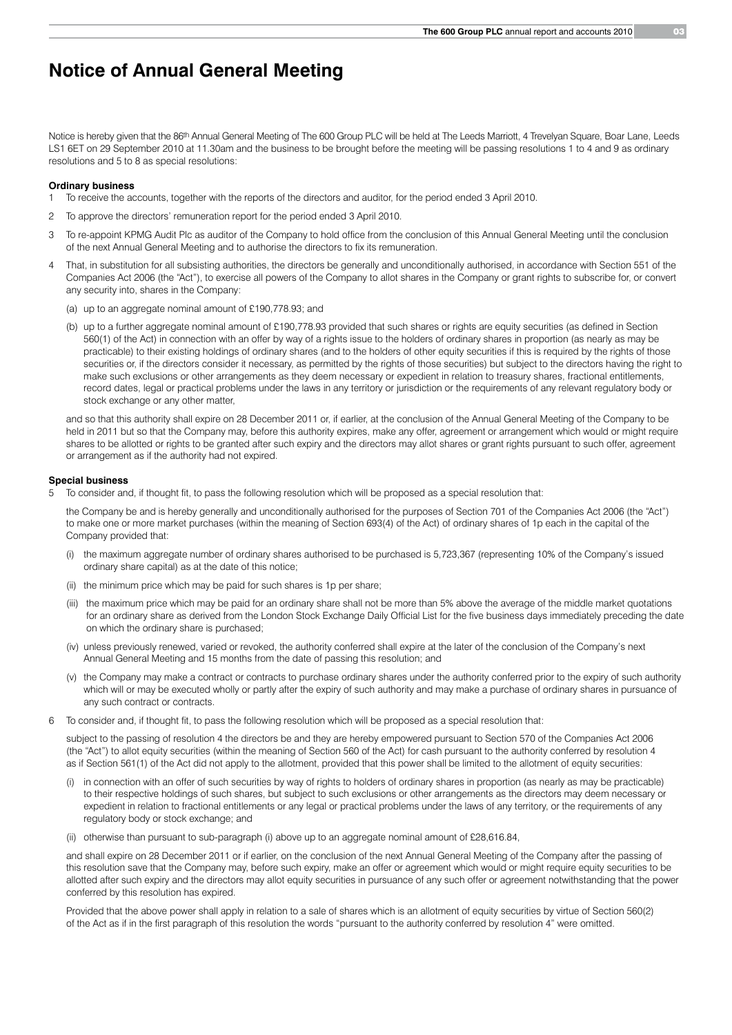# **Notice of Annual General Meeting**

Notice is hereby given that the 86<sup>th</sup> Annual General Meeting of The 600 Group PLC will be held at The Leeds Marriott, 4 Trevelyan Square, Boar Lane, Leeds LS1 6ET on 29 September 2010 at 11.30am and the business to be brought before the meeting will be passing resolutions 1 to 4 and 9 as ordinary resolutions and 5 to 8 as special resolutions:

### **Ordinary business**

- 1 To receive the accounts, together with the reports of the directors and auditor, for the period ended 3 April 2010.
- 2 To approve the directors' remuneration report for the period ended 3 April 2010.
- 3 To re-appoint KPMG Audit Plc as auditor of the Company to hold office from the conclusion of this Annual General Meeting until the conclusion of the next Annual General Meeting and to authorise the directors to fix its remuneration.
- That, in substitution for all subsisting authorities, the directors be generally and unconditionally authorised, in accordance with Section 551 of the Companies Act 2006 (the "Act"), to exercise all powers of the Company to allot shares in the Company or grant rights to subscribe for, or convert any security into, shares in the Company:
	- (a) up to an aggregate nominal amount of £190,778.93; and
	- (b) up to a further aggregate nominal amount of £190,778.93 provided that such shares or rights are equity securities (as defined in Section 560(1) of the Act) in connection with an offer by way of a rights issue to the holders of ordinary shares in proportion (as nearly as may be practicable) to their existing holdings of ordinary shares (and to the holders of other equity securities if this is required by the rights of those securities or, if the directors consider it necessary, as permitted by the rights of those securities) but subject to the directors having the right to make such exclusions or other arrangements as they deem necessary or expedient in relation to treasury shares, fractional entitlements, record dates, legal or practical problems under the laws in any territory or jurisdiction or the requirements of any relevant regulatory body or stock exchange or any other matter,

 and so that this authority shall expire on 28 December 2011 or, if earlier, at the conclusion of the Annual General Meeting of the Company to be held in 2011 but so that the Company may, before this authority expires, make any offer, agreement or arrangement which would or might require shares to be allotted or rights to be granted after such expiry and the directors may allot shares or grant rights pursuant to such offer, agreement or arrangement as if the authority had not expired.

### **Special business**

5 To consider and, if thought fit, to pass the following resolution which will be proposed as a special resolution that:

 the Company be and is hereby generally and unconditionally authorised for the purposes of Section 701 of the Companies Act 2006 (the "Act") to make one or more market purchases (within the meaning of Section 693(4) of the Act) of ordinary shares of 1p each in the capital of the Company provided that:

- (i) the maximum aggregate number of ordinary shares authorised to be purchased is 5,723,367 (representing 10% of the Company's issued ordinary share capital) as at the date of this notice;
- (ii) the minimum price which may be paid for such shares is 1p per share;
- (iii) the maximum price which may be paid for an ordinary share shall not be more than 5% above the average of the middle market quotations for an ordinary share as derived from the London Stock Exchange Daily Official List for the five business days immediately preceding the date on which the ordinary share is purchased;
- (iv) unless previously renewed, varied or revoked, the authority conferred shall expire at the later of the conclusion of the Company's next Annual General Meeting and 15 months from the date of passing this resolution; and
- (v) the Company may make a contract or contracts to purchase ordinary shares under the authority conferred prior to the expiry of such authority which will or may be executed wholly or partly after the expiry of such authority and may make a purchase of ordinary shares in pursuance of any such contract or contracts.
- 6 To consider and, if thought fit, to pass the following resolution which will be proposed as a special resolution that:

 subject to the passing of resolution 4 the directors be and they are hereby empowered pursuant to Section 570 of the Companies Act 2006 (the "Act") to allot equity securities (within the meaning of Section 560 of the Act) for cash pursuant to the authority conferred by resolution 4 as if Section 561(1) of the Act did not apply to the allotment, provided that this power shall be limited to the allotment of equity securities:

- in connection with an offer of such securities by way of rights to holders of ordinary shares in proportion (as nearly as may be practicable) to their respective holdings of such shares, but subject to such exclusions or other arrangements as the directors may deem necessary or expedient in relation to fractional entitlements or any legal or practical problems under the laws of any territory, or the requirements of any regulatory body or stock exchange; and
- (ii) otherwise than pursuant to sub-paragraph (i) above up to an aggregate nominal amount of £28,616.84,

 and shall expire on 28 December 2011 or if earlier, on the conclusion of the next Annual General Meeting of the Company after the passing of this resolution save that the Company may, before such expiry, make an offer or agreement which would or might require equity securities to be allotted after such expiry and the directors may allot equity securities in pursuance of any such offer or agreement notwithstanding that the power conferred by this resolution has expired.

 Provided that the above power shall apply in relation to a sale of shares which is an allotment of equity securities by virtue of Section 560(2) of the Act as if in the first paragraph of this resolution the words "pursuant to the authority conferred by resolution 4" were omitted.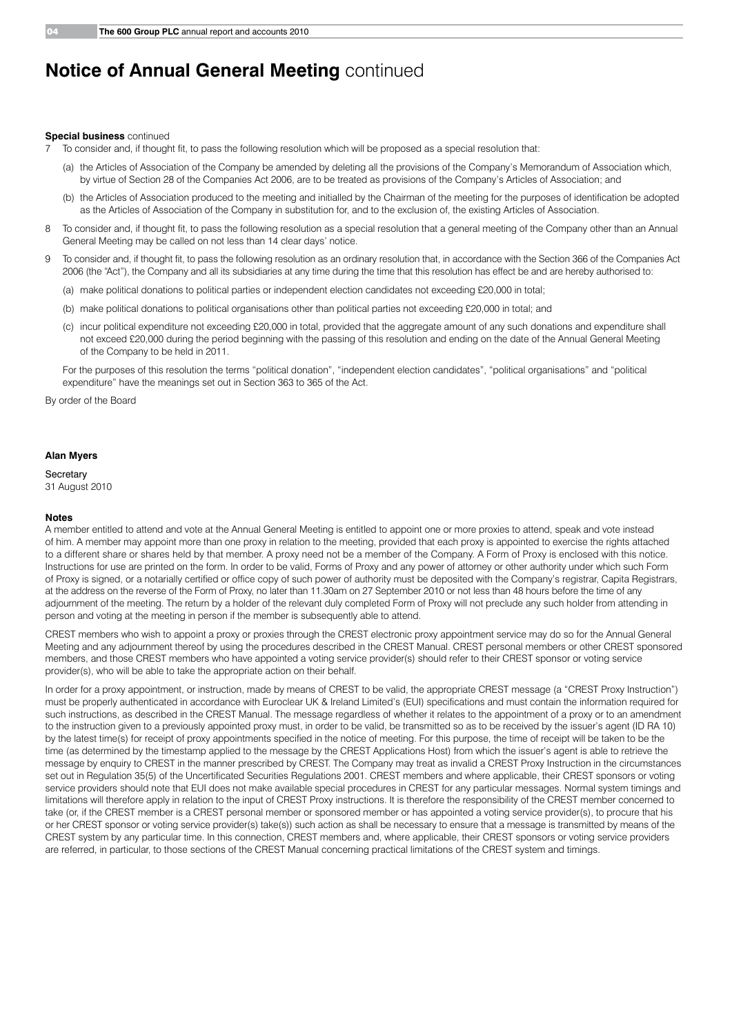# **Notice of Annual General Meeting continued**

### **Special business** continued

7 To consider and, if thought fit, to pass the following resolution which will be proposed as a special resolution that:

- (a) the Articles of Association of the Company be amended by deleting all the provisions of the Company's Memorandum of Association which, by virtue of Section 28 of the Companies Act 2006, are to be treated as provisions of the Company's Articles of Association; and
- (b) the Articles of Association produced to the meeting and initialled by the Chairman of the meeting for the purposes of identification be adopted as the Articles of Association of the Company in substitution for, and to the exclusion of, the existing Articles of Association.
- 8 To consider and, if thought fit, to pass the following resolution as a special resolution that a general meeting of the Company other than an Annual General Meeting may be called on not less than 14 clear days' notice.
- 9 To consider and, if thought fit, to pass the following resolution as an ordinary resolution that, in accordance with the Section 366 of the Companies Act 2006 (the "Act"), the Company and all its subsidiaries at any time during the time that this resolution has effect be and are hereby authorised to:
	- (a) make political donations to political parties or independent election candidates not exceeding £20,000 in total;
	- (b) make political donations to political organisations other than political parties not exceeding £20,000 in total; and
	- (c) incur political expenditure not exceeding £20,000 in total, provided that the aggregate amount of any such donations and expenditure shall not exceed £20,000 during the period beginning with the passing of this resolution and ending on the date of the Annual General Meeting of the Company to be held in 2011.

 For the purposes of this resolution the terms "political donation", "independent election candidates", "political organisations" and "political expenditure" have the meanings set out in Section 363 to 365 of the Act.

By order of the Board

### **Alan Myers**

**Secretary** 31 August 2010

### **Notes**

A member entitled to attend and vote at the Annual General Meeting is entitled to appoint one or more proxies to attend, speak and vote instead of him. A member may appoint more than one proxy in relation to the meeting, provided that each proxy is appointed to exercise the rights attached to a different share or shares held by that member. A proxy need not be a member of the Company. A Form of Proxy is enclosed with this notice. Instructions for use are printed on the form. In order to be valid, Forms of Proxy and any power of attorney or other authority under which such Form of Proxy is signed, or a notarially certified or office copy of such power of authority must be deposited with the Company's registrar, Capita Registrars, at the address on the reverse of the Form of Proxy, no later than 11.30am on 27 September 2010 or not less than 48 hours before the time of any adjournment of the meeting. The return by a holder of the relevant duly completed Form of Proxy will not preclude any such holder from attending in person and voting at the meeting in person if the member is subsequently able to attend.

CREST members who wish to appoint a proxy or proxies through the CREST electronic proxy appointment service may do so for the Annual General Meeting and any adjournment thereof by using the procedures described in the CREST Manual. CREST personal members or other CREST sponsored members, and those CREST members who have appointed a voting service provider(s) should refer to their CREST sponsor or voting service provider(s), who will be able to take the appropriate action on their behalf.

In order for a proxy appointment, or instruction, made by means of CREST to be valid, the appropriate CREST message (a "CREST Proxy Instruction") must be properly authenticated in accordance with Euroclear UK & Ireland Limited's (EUI) specifications and must contain the information required for such instructions, as described in the CREST Manual. The message regardless of whether it relates to the appointment of a proxy or to an amendment to the instruction given to a previously appointed proxy must, in order to be valid, be transmitted so as to be received by the issuer's agent (ID RA 10) by the latest time(s) for receipt of proxy appointments specified in the notice of meeting. For this purpose, the time of receipt will be taken to be the time (as determined by the timestamp applied to the message by the CREST Applications Host) from which the issuer's agent is able to retrieve the message by enquiry to CREST in the manner prescribed by CREST. The Company may treat as invalid a CREST Proxy Instruction in the circumstances set out in Regulation 35(5) of the Uncertificated Securities Regulations 2001. CREST members and where applicable, their CREST sponsors or voting service providers should note that EUI does not make available special procedures in CREST for any particular messages. Normal system timings and limitations will therefore apply in relation to the input of CREST Proxy instructions. It is therefore the responsibility of the CREST member concerned to take (or, if the CREST member is a CREST personal member or sponsored member or has appointed a voting service provider(s), to procure that his or her CREST sponsor or voting service provider(s) take(s)) such action as shall be necessary to ensure that a message is transmitted by means of the CREST system by any particular time. In this connection, CREST members and, where applicable, their CREST sponsors or voting service providers are referred, in particular, to those sections of the CREST Manual concerning practical limitations of the CREST system and timings.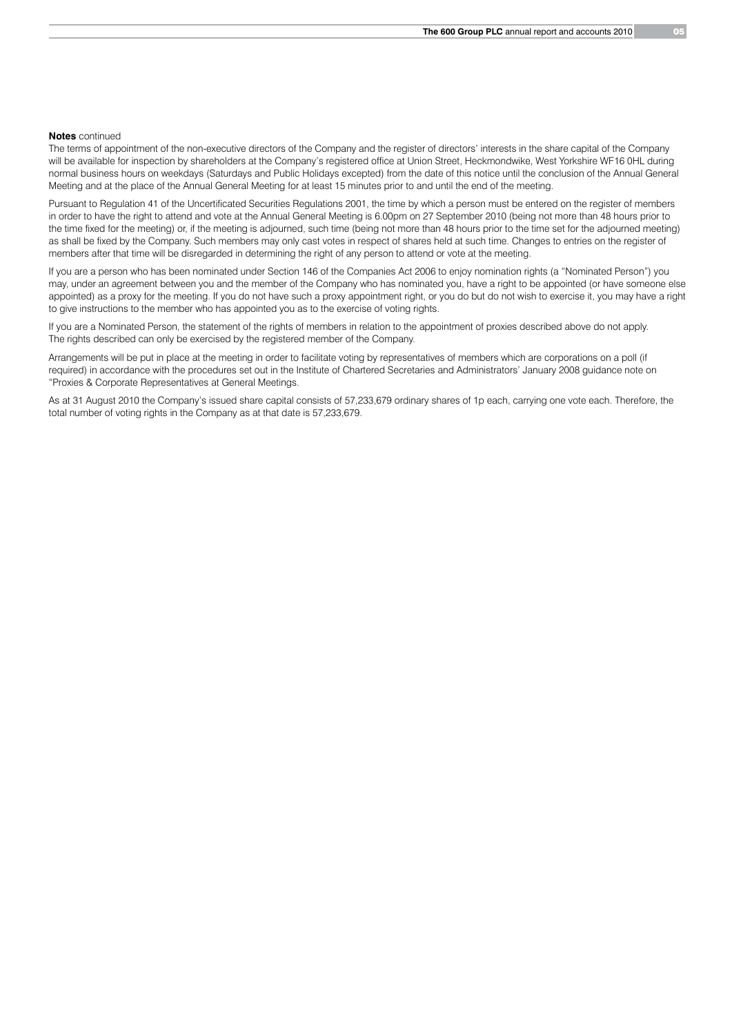### **Notes** continued

The terms of appointment of the non-executive directors of the Company and the register of directors' interests in the share capital of the Company will be available for inspection by shareholders at the Company's registered office at Union Street, Heckmondwike, West Yorkshire WF16 0HL during normal business hours on weekdays (Saturdays and Public Holidays excepted) from the date of this notice until the conclusion of the Annual General Meeting and at the place of the Annual General Meeting for at least 15 minutes prior to and until the end of the meeting.

Pursuant to Regulation 41 of the Uncertificated Securities Regulations 2001, the time by which a person must be entered on the register of members in order to have the right to attend and vote at the Annual General Meeting is 6.00pm on 27 September 2010 (being not more than 48 hours prior to the time fixed for the meeting) or, if the meeting is adjourned, such time (being not more than 48 hours prior to the time set for the adjourned meeting) as shall be fixed by the Company. Such members may only cast votes in respect of shares held at such time. Changes to entries on the register of members after that time will be disregarded in determining the right of any person to attend or vote at the meeting.

If you are a person who has been nominated under Section 146 of the Companies Act 2006 to enjoy nomination rights (a "Nominated Person") you may, under an agreement between you and the member of the Company who has nominated you, have a right to be appointed (or have someone else appointed) as a proxy for the meeting. If you do not have such a proxy appointment right, or you do but do not wish to exercise it, you may have a right to give instructions to the member who has appointed you as to the exercise of voting rights.

If you are a Nominated Person, the statement of the rights of members in relation to the appointment of proxies described above do not apply. The rights described can only be exercised by the registered member of the Company.

Arrangements will be put in place at the meeting in order to facilitate voting by representatives of members which are corporations on a poll (if required) in accordance with the procedures set out in the Institute of Chartered Secretaries and Administrators' January 2008 guidance note on "Proxies & Corporate Representatives at General Meetings.

As at 31 August 2010 the Company's issued share capital consists of 57,233,679 ordinary shares of 1p each, carrying one vote each. Therefore, the total number of voting rights in the Company as at that date is 57,233,679.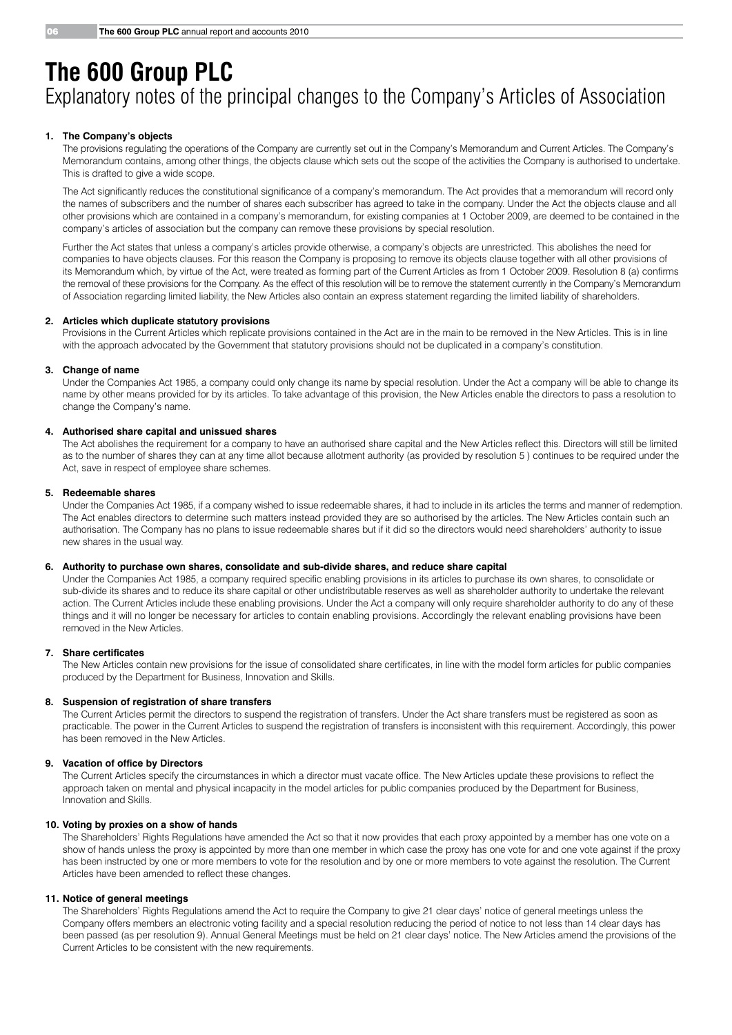# **The 600 Group PLC** Explanatory notes of the principal changes to the Company's Articles of Association

### **1. The Company's objects**

 The provisions regulating the operations of the Company are currently set out in the Company's Memorandum and Current Articles. The Company's Memorandum contains, among other things, the objects clause which sets out the scope of the activities the Company is authorised to undertake. This is drafted to give a wide scope.

The Act significantly reduces the constitutional significance of a company's memorandum. The Act provides that a memorandum will record only the names of subscribers and the number of shares each subscriber has agreed to take in the company. Under the Act the objects clause and all other provisions which are contained in a company's memorandum, for existing companies at 1 October 2009, are deemed to be contained in the company's articles of association but the company can remove these provisions by special resolution.

 Further the Act states that unless a company's articles provide otherwise, a company's objects are unrestricted. This abolishes the need for companies to have objects clauses. For this reason the Company is proposing to remove its objects clause together with all other provisions of its Memorandum which, by virtue of the Act, were treated as forming part of the Current Articles as from 1 October 2009. Resolution 8 (a) confirms the removal of these provisions for the Company. As the effect of this resolution will be to remove the statement currently in the Company's Memorandum of Association regarding limited liability, the New Articles also contain an express statement regarding the limited liability of shareholders.

### **2. Articles which duplicate statutory provisions**

 Provisions in the Current Articles which replicate provisions contained in the Act are in the main to be removed in the New Articles. This is in line with the approach advocated by the Government that statutory provisions should not be duplicated in a company's constitution.

### **3. Change of name**

 Under the Companies Act 1985, a company could only change its name by special resolution. Under the Act a company will be able to change its name by other means provided for by its articles. To take advantage of this provision, the New Articles enable the directors to pass a resolution to change the Company's name.

### **4. Authorised share capital and unissued shares**

The Act abolishes the requirement for a company to have an authorised share capital and the New Articles reflect this. Directors will still be limited as to the number of shares they can at any time allot because allotment authority (as provided by resolution 5 ) continues to be required under the Act, save in respect of employee share schemes.

### **5. Redeemable shares**

 Under the Companies Act 1985, if a company wished to issue redeemable shares, it had to include in its articles the terms and manner of redemption. The Act enables directors to determine such matters instead provided they are so authorised by the articles. The New Articles contain such an authorisation. The Company has no plans to issue redeemable shares but if it did so the directors would need shareholders' authority to issue new shares in the usual way.

### **6. Authority to purchase own shares, consolidate and sub-divide shares, and reduce share capital**

Under the Companies Act 1985, a company required specific enabling provisions in its articles to purchase its own shares, to consolidate or sub-divide its shares and to reduce its share capital or other undistributable reserves as well as shareholder authority to undertake the relevant action. The Current Articles include these enabling provisions. Under the Act a company will only require shareholder authority to do any of these things and it will no longer be necessary for articles to contain enabling provisions. Accordingly the relevant enabling provisions have been removed in the New Articles.

### **7. Share certificates**

The New Articles contain new provisions for the issue of consolidated share certificates, in line with the model form articles for public companies produced by the Department for Business, Innovation and Skills.

### **8. Suspension of registration of share transfers**

 The Current Articles permit the directors to suspend the registration of transfers. Under the Act share transfers must be registered as soon as practicable. The power in the Current Articles to suspend the registration of transfers is inconsistent with this requirement. Accordingly, this power has been removed in the New Articles.

### **9. Vacation of office by Directors**

The Current Articles specify the circumstances in which a director must vacate office. The New Articles update these provisions to reflect the approach taken on mental and physical incapacity in the model articles for public companies produced by the Department for Business, Innovation and Skills.

### **10. Voting by proxies on a show of hands**

 The Shareholders' Rights Regulations have amended the Act so that it now provides that each proxy appointed by a member has one vote on a show of hands unless the proxy is appointed by more than one member in which case the proxy has one vote for and one vote against if the proxy has been instructed by one or more members to vote for the resolution and by one or more members to vote against the resolution. The Current Articles have been amended to reflect these changes.

### **11. Notice of general meetings**

 The Shareholders' Rights Regulations amend the Act to require the Company to give 21 clear days' notice of general meetings unless the Company offers members an electronic voting facility and a special resolution reducing the period of notice to not less than 14 clear days has been passed (as per resolution 9). Annual General Meetings must be held on 21 clear days' notice. The New Articles amend the provisions of the Current Articles to be consistent with the new requirements.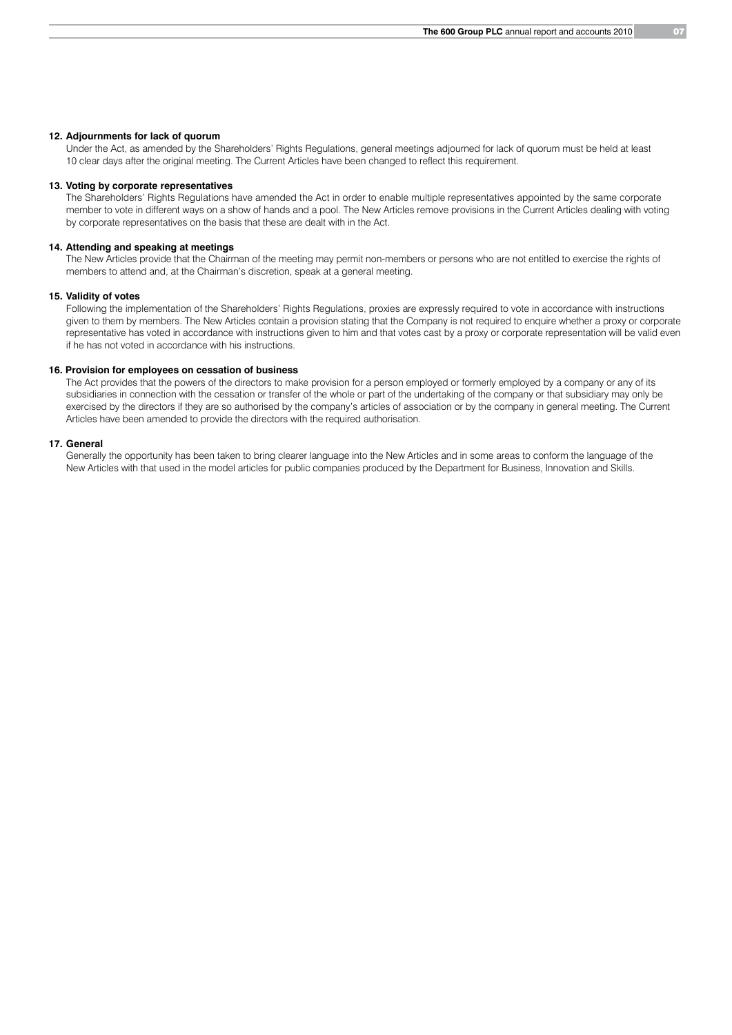### **12. Adjournments for lack of quorum**

 Under the Act, as amended by the Shareholders' Rights Regulations, general meetings adjourned for lack of quorum must be held at least 10 clear days after the original meeting. The Current Articles have been changed to reflect this requirement.

### **13. Voting by corporate representatives**

 The Shareholders' Rights Regulations have amended the Act in order to enable multiple representatives appointed by the same corporate member to vote in different ways on a show of hands and a pool. The New Articles remove provisions in the Current Articles dealing with voting by corporate representatives on the basis that these are dealt with in the Act.

### **14. Attending and speaking at meetings**

 The New Articles provide that the Chairman of the meeting may permit non-members or persons who are not entitled to exercise the rights of members to attend and, at the Chairman's discretion, speak at a general meeting.

### **15. Validity of votes**

 Following the implementation of the Shareholders' Rights Regulations, proxies are expressly required to vote in accordance with instructions given to them by members. The New Articles contain a provision stating that the Company is not required to enquire whether a proxy or corporate representative has voted in accordance with instructions given to him and that votes cast by a proxy or corporate representation will be valid even if he has not voted in accordance with his instructions.

### **16. Provision for employees on cessation of business**

 The Act provides that the powers of the directors to make provision for a person employed or formerly employed by a company or any of its subsidiaries in connection with the cessation or transfer of the whole or part of the undertaking of the company or that subsidiary may only be exercised by the directors if they are so authorised by the company's articles of association or by the company in general meeting. The Current Articles have been amended to provide the directors with the required authorisation.

### **17. General**

 Generally the opportunity has been taken to bring clearer language into the New Articles and in some areas to conform the language of the New Articles with that used in the model articles for public companies produced by the Department for Business, Innovation and Skills.